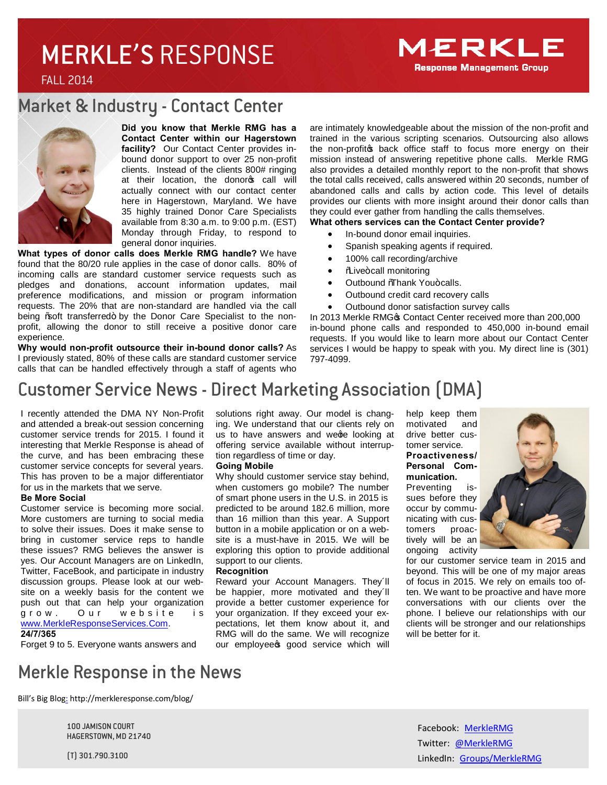# MERKLE'S RESPONSE



FALL 2014

## Market & Industry - Contact Center



**Did you know that Merkle RMG has a Contact Center within our Hagerstown facility?** Our Contact Center provides inbound donor support to over 25 non-profit clients. Instead of the clients 800# ringing at their location, the donorop call will actually connect with our contact center here in Hagerstown, Maryland. We have 35 highly trained Donor Care Specialists available from 8:30 a.m. to 9:00 p.m. (EST) Monday through Friday, to respond to general donor inquiries.

**What types of donor calls does Merkle RMG handle?** We have found that the 80/20 rule applies in the case of donor calls. 80% of incoming calls are standard customer service requests such as pledges and donations, account information updates, mail preference modifications, and mission or program information requests. The 20% that are non-standard are handled via the call being % oft transferred+ by the Donor Care Specialist to the nonprofit, allowing the donor to still receive a positive donor care experience.

**Why would non-profit outsource their in-bound donor calls?** As I previously stated, 80% of these calls are standard customer service calls that can be handled effectively through a staff of agents who are intimately knowledgeable about the mission of the non-profit and trained in the various scripting scenarios. Outsourcing also allows the non-profitos back office staff to focus more energy on their mission instead of answering repetitive phone calls. Merkle RMG also provides a detailed monthly report to the non-profit that shows the total calls received, calls answered within 20 seconds, number of abandoned calls and calls by action code. This level of details provides our clients with more insight around their donor calls than they could ever gather from handling the calls themselves.

#### **What others services can the Contact Center provide?**

- · In-bound donor email inquiries.
- · Spanish speaking agents if required.
- 100% call recording/archive
- % Ve+call monitoring
- Outbound %Thank You+calls.
- Outbound credit card recovery calls
- Outbound donor satisfaction survey calls

In 2013 Merkle RMG<sup>®</sup> Contact Center received more than 200,000 in-bound phone calls and responded to 450,000 in-bound email requests. If you would like to learn more about our Contact Center services I would be happy to speak with you. My direct line is (301) 797-4099.

# Customer Service News - Direct Marketing Association (DMA)

I recently attended the DMA NY Non-Profit and attended a break-out session concerning customer service trends for 2015. I found it interesting that Merkle Response is ahead of the curve, and has been embracing these customer service concepts for several years. This has proven to be a major differentiator for us in the markets that we serve.

#### **Be More Social**

Customer service is becoming more social. More customers are turning to social media to solve their issues. Does it make sense to bring in customer service reps to handle these issues? RMG believes the answer is yes. Our Account Managers are on LinkedIn, Twitter, FaceBook, and participate in industry discussion groups. Please look at our website on a weekly basis for the content we push out that can help your organization Our website is www.MerkleResponseServices.Com. **24/7/365**

Forget 9 to 5. Everyone wants answers and

solutions right away. Our model is changing. We understand that our clients rely on us to have answers and wege looking at offering service available without interruption regardless of time or day.

#### **Going Mobile**

Why should customer service stay behind, when customers go mobile? The number of smart phone users in the U.S. in 2015 is predicted to be around 182.6 million, more than 16 million than this year. A Support button in a mobile application or on a website is a must-have in 2015. We will be exploring this option to provide additional support to our clients.

#### **Recognition**

Reward your Account Managers. They´ll be happier, more motivated and they´ll provide a better customer experience for your organization. If they exceed your expectations, let them know about it, and RMG will do the same. We will recognize our employees good service which will

help keep them motivated and drive better customer service.

#### **Proactiveness/ Personal Communication.**

Preventing issues before they occur by communicating with customers proactively will be an ongoing activity



for our customer service team in 2015 and beyond. This will be one of my major areas of focus in 2015. We rely on emails too often. We want to be proactive and have more conversations with our clients over the phone. I believe our relationships with our clients will be stronger and our relationships will be better for it.

## Merkle Response in the News

Bill's Big Blog: http://merkleresponse.com/blog/

100 JAMISON COURT HAGERSTOWN, MD 21740

(T) 301.790.3100